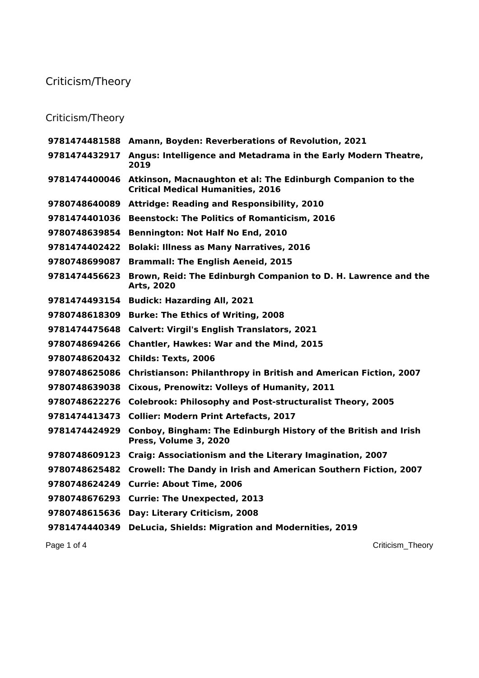## Criticism/Theory

## Criticism/Theory

|               | 9781474481588 Amann, Boyden: Reverberations of Revolution, 2021                                         |
|---------------|---------------------------------------------------------------------------------------------------------|
| 9781474432917 | Angus: Intelligence and Metadrama in the Early Modern Theatre,<br>2019                                  |
| 9781474400046 | Atkinson, Macnaughton et al: The Edinburgh Companion to the<br><b>Critical Medical Humanities, 2016</b> |
| 9780748640089 | <b>Attridge: Reading and Responsibility, 2010</b>                                                       |
| 9781474401036 | <b>Beenstock: The Politics of Romanticism, 2016</b>                                                     |
| 9780748639854 | <b>Bennington: Not Half No End, 2010</b>                                                                |
| 9781474402422 | <b>Bolaki: Illness as Many Narratives, 2016</b>                                                         |
| 9780748699087 | <b>Brammall: The English Aeneid, 2015</b>                                                               |
| 9781474456623 | Brown, Reid: The Edinburgh Companion to D. H. Lawrence and the<br>Arts, 2020                            |
| 9781474493154 | <b>Budick: Hazarding All, 2021</b>                                                                      |
| 9780748618309 | <b>Burke: The Ethics of Writing, 2008</b>                                                               |
| 9781474475648 | <b>Calvert: Virgil's English Translators, 2021</b>                                                      |
| 9780748694266 | <b>Chantler, Hawkes: War and the Mind, 2015</b>                                                         |
| 9780748620432 | Childs: Texts, 2006                                                                                     |
| 9780748625086 | <b>Christianson: Philanthropy in British and American Fiction, 2007</b>                                 |
| 9780748639038 | Cixous, Prenowitz: Volleys of Humanity, 2011                                                            |
| 9780748622276 | <b>Colebrook: Philosophy and Post-structuralist Theory, 2005</b>                                        |
| 9781474413473 | <b>Collier: Modern Print Artefacts, 2017</b>                                                            |
| 9781474424929 | Conboy, Bingham: The Edinburgh History of the British and Irish<br>Press, Volume 3, 2020                |
| 9780748609123 | Craig: Associationism and the Literary Imagination, 2007                                                |
| 9780748625482 | Crowell: The Dandy in Irish and American Southern Fiction, 2007                                         |
| 9780748624249 | <b>Currie: About Time, 2006</b>                                                                         |
| 9780748676293 | <b>Currie: The Unexpected, 2013</b>                                                                     |
| 9780748615636 | Day: Literary Criticism, 2008                                                                           |
| 9781474440349 | <b>DeLucia, Shields: Migration and Modernities, 2019</b>                                                |
|               |                                                                                                         |

Page 1 of 4 Criticism\_Theory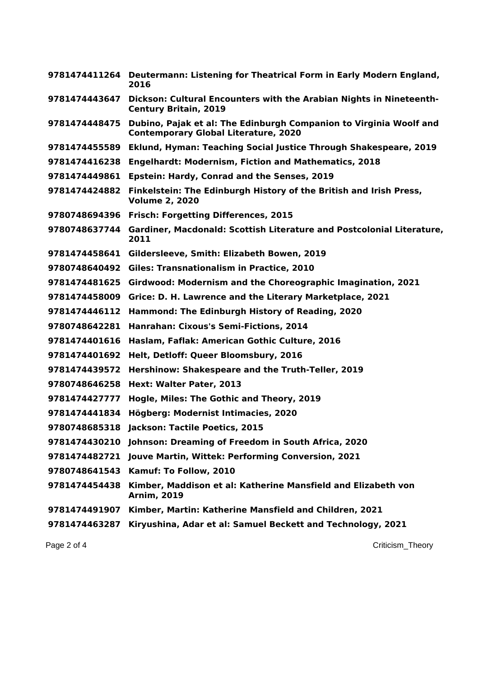|               | 9781474411264 Deutermann: Listening for Theatrical Form in Early Modern England,<br>2016                          |
|---------------|-------------------------------------------------------------------------------------------------------------------|
| 9781474443647 | Dickson: Cultural Encounters with the Arabian Nights in Nineteenth-<br><b>Century Britain, 2019</b>               |
| 9781474448475 | Dubino, Pajak et al: The Edinburgh Companion to Virginia Woolf and<br><b>Contemporary Global Literature, 2020</b> |
| 9781474455589 | Eklund, Hyman: Teaching Social Justice Through Shakespeare, 2019                                                  |
| 9781474416238 | <b>Engelhardt: Modernism, Fiction and Mathematics, 2018</b>                                                       |
| 9781474449861 | Epstein: Hardy, Conrad and the Senses, 2019                                                                       |
| 9781474424882 | Finkelstein: The Edinburgh History of the British and Irish Press,<br><b>Volume 2, 2020</b>                       |
| 9780748694396 | <b>Frisch: Forgetting Differences, 2015</b>                                                                       |
| 9780748637744 | Gardiner, Macdonald: Scottish Literature and Postcolonial Literature,<br>2011                                     |
| 9781474458641 | Gildersleeve, Smith: Elizabeth Bowen, 2019                                                                        |
| 9780748640492 | <b>Giles: Transnationalism in Practice, 2010</b>                                                                  |
| 9781474481625 | Girdwood: Modernism and the Choreographic Imagination, 2021                                                       |
| 9781474458009 | Grice: D. H. Lawrence and the Literary Marketplace, 2021                                                          |
| 9781474446112 | Hammond: The Edinburgh History of Reading, 2020                                                                   |
| 9780748642281 | Hanrahan: Cixous's Semi-Fictions, 2014                                                                            |
| 9781474401616 | Haslam, Faflak: American Gothic Culture, 2016                                                                     |
| 9781474401692 | Helt, Detloff: Queer Bloomsbury, 2016                                                                             |
| 9781474439572 | Hershinow: Shakespeare and the Truth-Teller, 2019                                                                 |
| 9780748646258 | Hext: Walter Pater, 2013                                                                                          |
| 9781474427777 | Hogle, Miles: The Gothic and Theory, 2019                                                                         |
| 9781474441834 | Högberg: Modernist Intimacies, 2020                                                                               |
| 9780748685318 | Jackson: Tactile Poetics, 2015                                                                                    |
|               | 9781474430210 Johnson: Dreaming of Freedom in South Africa, 2020                                                  |
|               | 9781474482721 Jouve Martin, Wittek: Performing Conversion, 2021                                                   |
|               | 9780748641543 Kamuf: To Follow, 2010                                                                              |
| 9781474454438 | Kimber, Maddison et al: Katherine Mansfield and Elizabeth von<br><b>Arnim, 2019</b>                               |
| 9781474491907 | Kimber, Martin: Katherine Mansfield and Children, 2021                                                            |
| 9781474463287 | Kiryushina, Adar et al: Samuel Beckett and Technology, 2021                                                       |
|               |                                                                                                                   |

Page 2 of 4 Criticism\_Theory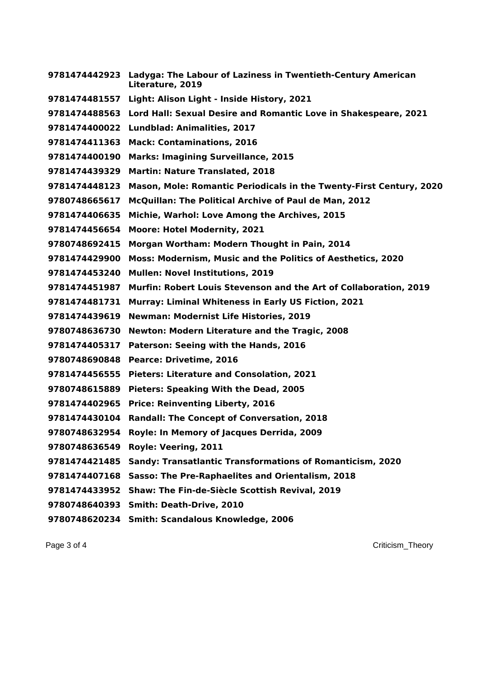**Ladyga: The Labour of Laziness in Twentieth-Century American Literature, 2019 Light: Alison Light - Inside History, 2021 Lord Hall: Sexual Desire and Romantic Love in Shakespeare, 2021 Lundblad: Animalities, 2017 Mack: Contaminations, 2016 Marks: Imagining Surveillance, 2015 Martin: Nature Translated, 2018 Mason, Mole: Romantic Periodicals in the Twenty-First Century, 2020 McQuillan: The Political Archive of Paul de Man, 2012 Michie, Warhol: Love Among the Archives, 2015 Moore: Hotel Modernity, 2021 Morgan Wortham: Modern Thought in Pain, 2014 Moss: Modernism, Music and the Politics of Aesthetics, 2020 Mullen: Novel Institutions, 2019 Murfin: Robert Louis Stevenson and the Art of Collaboration, 2019 Murray: Liminal Whiteness in Early US Fiction, 2021 Newman: Modernist Life Histories, 2019 Newton: Modern Literature and the Tragic, 2008 Paterson: Seeing with the Hands, 2016 Pearce: Drivetime, 2016 Pieters: Literature and Consolation, 2021 Pieters: Speaking With the Dead, 2005 Price: Reinventing Liberty, 2016 Randall: The Concept of Conversation, 2018 Royle: In Memory of Jacques Derrida, 2009 Royle: Veering, 2011 Sandy: Transatlantic Transformations of Romanticism, 2020 Sasso: The Pre-Raphaelites and Orientalism, 2018 Shaw: The Fin-de-Siècle Scottish Revival, 2019 Smith: Death-Drive, 2010 Smith: Scandalous Knowledge, 2006**

Page 3 of 4 Criticism\_Theory and the contract of the contract of the contract of the contract of the contract of the contract of the contract of the contract of the contract of the contract of the contract of the contract